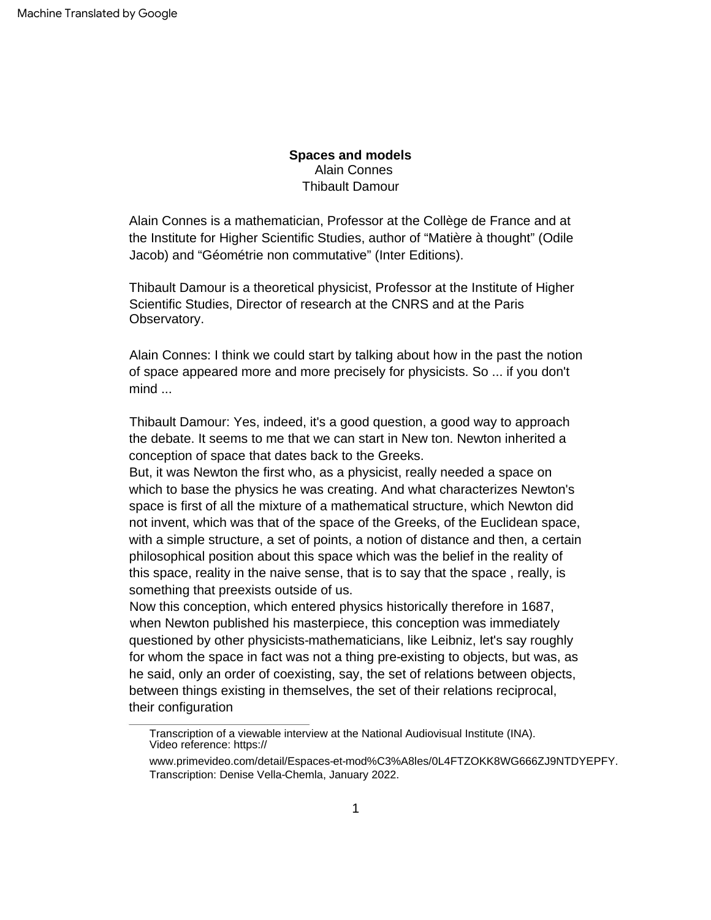Alain Connes Thibault Damour **Spaces and models**

Alain Connes is a mathematician, Professor at the Collège de France and at the Institute for Higher Scientific Studies, author of "Matière à thought" (Odile Jacob) and "Géométrie non commutative" (Inter Editions).

Thibault Damour is a theoretical physicist, Professor at the Institute of Higher Scientific Studies, Director of research at the CNRS and at the Paris Observatory.

Alain Connes: I think we could start by talking about how in the past the notion of space appeared more and more precisely for physicists. So ... if you don't mind ...

Thibault Damour: Yes, indeed, it's a good question, a good way to approach the debate. It seems to me that we can start in New ton. Newton inherited a conception of space that dates back to the Greeks.

But, it was Newton the first who, as a physicist, really needed a space on which to base the physics he was creating. And what characterizes Newton's space is first of all the mixture of a mathematical structure, which Newton did not invent, which was that of the space of the Greeks, of the Euclidean space, with a simple structure, a set of points, a notion of distance and then, a certain philosophical position about this space which was the belief in the reality of this space, reality in the naive sense, that is to say that the space , really, is something that preexists outside of us.

Now this conception, which entered physics historically therefore in 1687, when Newton published his masterpiece, this conception was immediately questioned by other physicists-mathematicians, like Leibniz, let's say roughly for whom the space in fact was not a thing pre-existing to objects, but was, as he said, only an order of coexisting, say, the set of relations between objects, between things existing in themselves, the set of their relations reciprocal, their configuration

Transcription of a viewable interview at the National Audiovisual Institute (INA). Video reference: https://

[www.primevideo.com/detail/Espaces-et-mod%C3%A8les/0L4FTZOKK8WG666ZJ9NTDYEPFY.](https://www.primevideo.com/detail/Espaces-et-mod%C3%A8les/0L4FTZOKK8WG666ZJ9NTDYEPFY) Transcription: Denise Vella-Chemla, January 2022.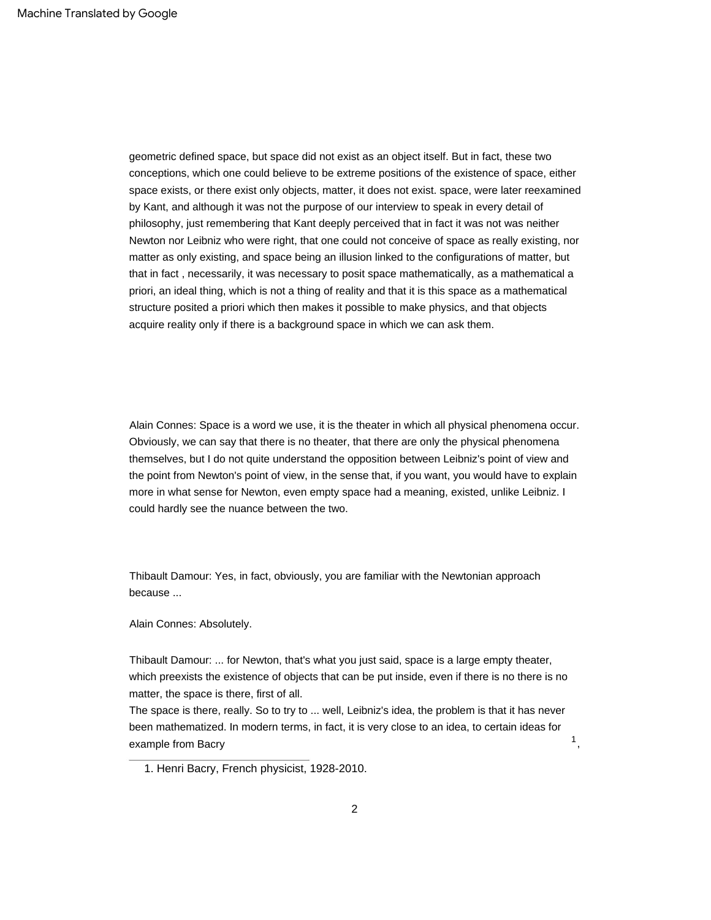geometric defined space, but space did not exist as an object itself. But in fact, these two conceptions, which one could believe to be extreme positions of the existence of space, either space exists, or there exist only objects, matter, it does not exist. space, were later reexamined by Kant, and although it was not the purpose of our interview to speak in every detail of philosophy, just remembering that Kant deeply perceived that in fact it was not was neither Newton nor Leibniz who were right, that one could not conceive of space as really existing, nor matter as only existing, and space being an illusion linked to the configurations of matter, but that in fact , necessarily, it was necessary to posit space mathematically, as a mathematical a priori, an ideal thing, which is not a thing of reality and that it is this space as a mathematical structure posited a priori which then makes it possible to make physics, and that objects acquire reality only if there is a background space in which we can ask them.

Alain Connes: Space is a word we use, it is the theater in which all physical phenomena occur. Obviously, we can say that there is no theater, that there are only the physical phenomena themselves, but I do not quite understand the opposition between Leibniz's point of view and the point from Newton's point of view, in the sense that, if you want, you would have to explain more in what sense for Newton, even empty space had a meaning, existed, unlike Leibniz. I could hardly see the nuance between the two.

Thibault Damour: Yes, in fact, obviously, you are familiar with the Newtonian approach because ...

Alain Connes: Absolutely.

Thibault Damour: ... for Newton, that's what you just said, space is a large empty theater, which preexists the existence of objects that can be put inside, even if there is no there is no matter, the space is there, first of all.

The space is there, really. So to try to ... well, Leibniz's idea, the problem is that it has never been mathematized. In modern terms, in fact, it is very close to an idea, to certain ideas for example from Bacry

,

1

<sup>1.</sup> Henri Bacry, French physicist, 1928-2010.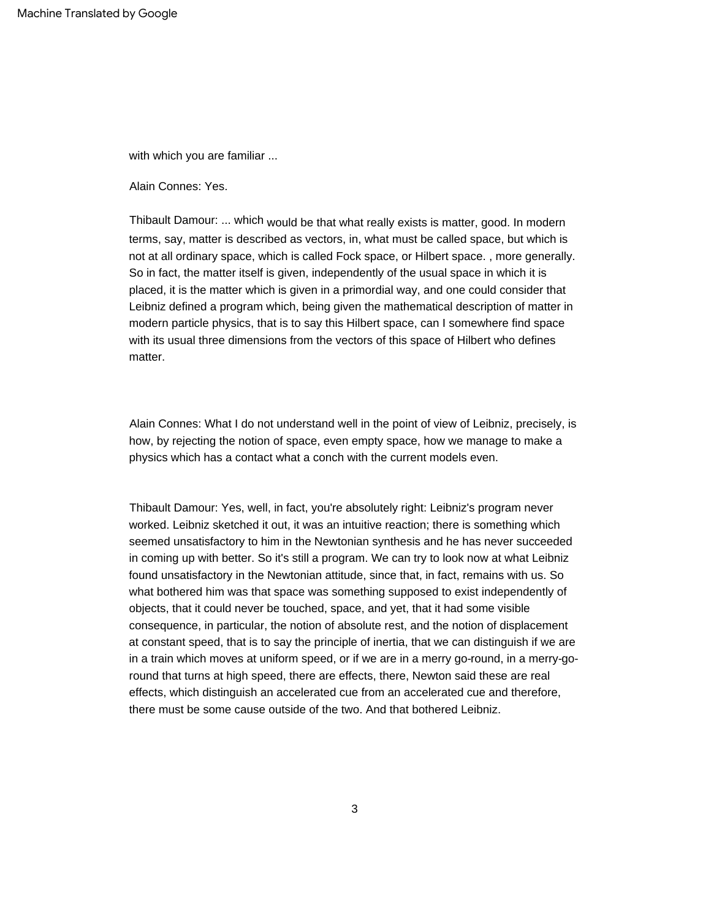with which you are familiar ...

Alain Connes: Yes.

Thibault Damour: ... which would be that what really exists is matter, good. In modern terms, say, matter is described as vectors, in, what must be called space, but which is not at all ordinary space, which is called Fock space, or Hilbert space. , more generally. So in fact, the matter itself is given, independently of the usual space in which it is placed, it is the matter which is given in a primordial way, and one could consider that Leibniz defined a program which, being given the mathematical description of matter in modern particle physics, that is to say this Hilbert space, can I somewhere find space with its usual three dimensions from the vectors of this space of Hilbert who defines matter.

Alain Connes: What I do not understand well in the point of view of Leibniz, precisely, is how, by rejecting the notion of space, even empty space, how we manage to make a physics which has a contact what a conch with the current models even.

Thibault Damour: Yes, well, in fact, you're absolutely right: Leibniz's program never worked. Leibniz sketched it out, it was an intuitive reaction; there is something which seemed unsatisfactory to him in the Newtonian synthesis and he has never succeeded in coming up with better. So it's still a program. We can try to look now at what Leibniz found unsatisfactory in the Newtonian attitude, since that, in fact, remains with us. So what bothered him was that space was something supposed to exist independently of objects, that it could never be touched, space, and yet, that it had some visible consequence, in particular, the notion of absolute rest, and the notion of displacement at constant speed, that is to say the principle of inertia, that we can distinguish if we are in a train which moves at uniform speed, or if we are in a merry go-round, in a merry-goround that turns at high speed, there are effects, there, Newton said these are real effects, which distinguish an accelerated cue from an accelerated cue and therefore, there must be some cause outside of the two. And that bothered Leibniz.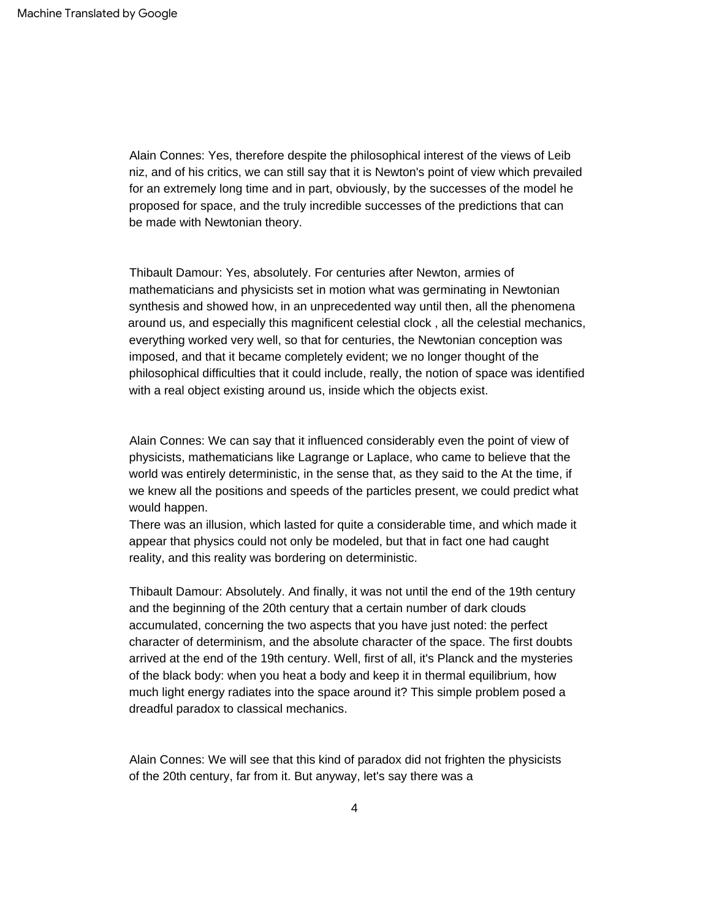Alain Connes: Yes, therefore despite the philosophical interest of the views of Leib niz, and of his critics, we can still say that it is Newton's point of view which prevailed for an extremely long time and in part, obviously, by the successes of the model he proposed for space, and the truly incredible successes of the predictions that can be made with Newtonian theory.

Thibault Damour: Yes, absolutely. For centuries after Newton, armies of mathematicians and physicists set in motion what was germinating in Newtonian synthesis and showed how, in an unprecedented way until then, all the phenomena around us, and especially this magnificent celestial clock , all the celestial mechanics, everything worked very well, so that for centuries, the Newtonian conception was imposed, and that it became completely evident; we no longer thought of the philosophical difficulties that it could include, really, the notion of space was identified with a real object existing around us, inside which the objects exist.

Alain Connes: We can say that it influenced considerably even the point of view of physicists, mathematicians like Lagrange or Laplace, who came to believe that the world was entirely deterministic, in the sense that, as they said to the At the time, if we knew all the positions and speeds of the particles present, we could predict what would happen.

There was an illusion, which lasted for quite a considerable time, and which made it appear that physics could not only be modeled, but that in fact one had caught reality, and this reality was bordering on deterministic.

Thibault Damour: Absolutely. And finally, it was not until the end of the 19th century and the beginning of the 20th century that a certain number of dark clouds accumulated, concerning the two aspects that you have just noted: the perfect character of determinism, and the absolute character of the space. The first doubts arrived at the end of the 19th century. Well, first of all, it's Planck and the mysteries of the black body: when you heat a body and keep it in thermal equilibrium, how much light energy radiates into the space around it? This simple problem posed a dreadful paradox to classical mechanics.

Alain Connes: We will see that this kind of paradox did not frighten the physicists of the 20th century, far from it. But anyway, let's say there was a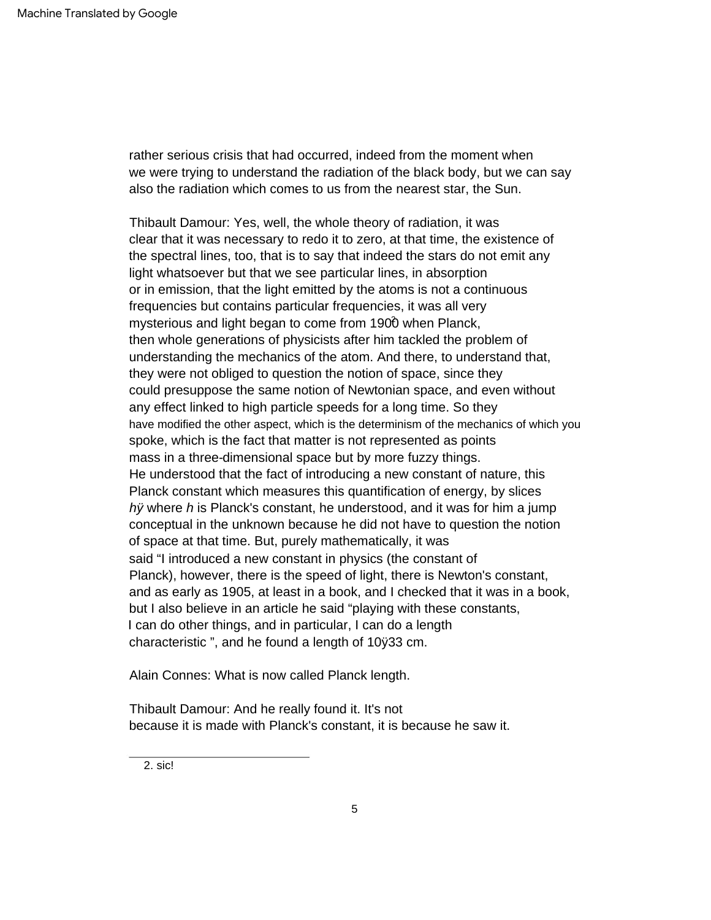we were trying to understand the radiation of the black body, but we can say also the radiation which comes to us from the nearest star, the Sun. rather serious crisis that had occurred, indeed from the moment when

mysterious and light began to come from 1900 when Planck, hy where h is Planck's constant, he understood, and it was for him a jump Planck), however, there is the speed of light, there is Newton's constant, conceptual in the unknown because he did not have to question the notion of space at that time. But, purely mathematically, it was then whole generations of physicists after him tackled the problem of understanding the mechanics of the atom. And there, to understand that, or in emission, that the light emitted by the atoms is not a continuous He understood that the fact of introducing a new constant of nature, this characteristic ", and he found a length of 10ÿ33 cm. I can do other things, and in particular, I can do a length Planck constant which measures this quantification of energy, by slices frequencies but contains particular frequencies, it was all very Thibault Damour: Yes, well, the whole theory of radiation, it was and as early as 1905, at least in a book, and I checked that it was in a book, have modified the other aspect, which is the determinism of the mechanics of which you clear that it was necessary to redo it to zero, at that time, the existence of the spectral lines, too, that is to say that indeed the stars do not emit any light whatsoever but that we see particular lines, in absorption mass in a three-dimensional space but by more fuzzy things. spoke, which is the fact that matter is not represented as points but I also believe in an article he said "playing with these constants, they were not obliged to question the notion of space, since they said "I introduced a new constant in physics (the constant of could presuppose the same notion of Newtonian space, and even without any effect linked to high particle speeds for a long time. So they

Alain Connes: What is now called Planck length.

Thibault Damour: And he really found it. It's not because it is made with Planck's constant, it is because he saw it.

2. sic!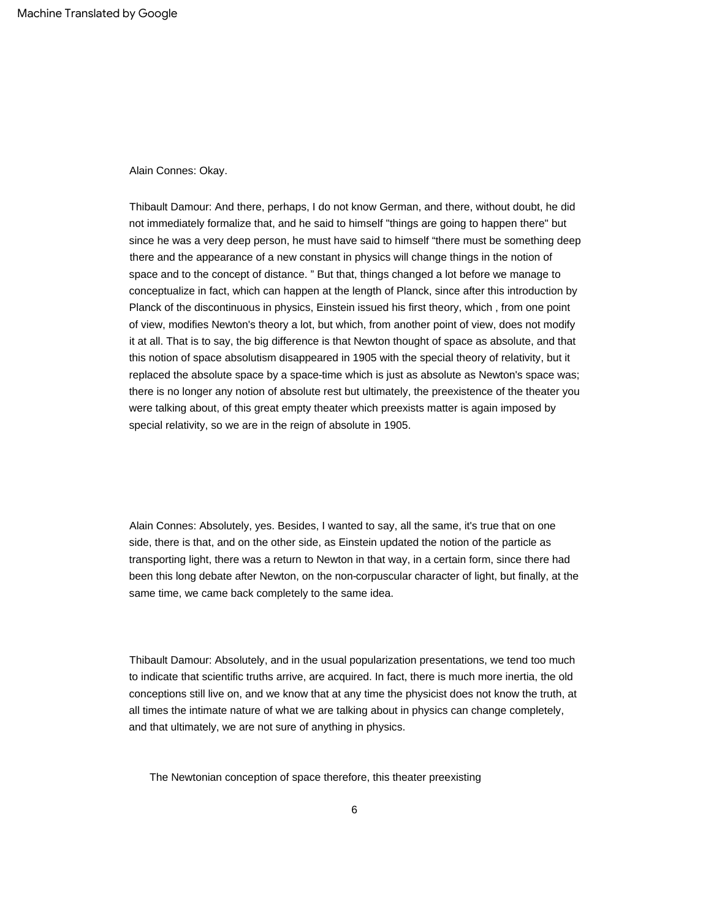Alain Connes: Okay.

Thibault Damour: And there, perhaps, I do not know German, and there, without doubt, he did not immediately formalize that, and he said to himself "things are going to happen there" but since he was a very deep person, he must have said to himself "there must be something deep there and the appearance of a new constant in physics will change things in the notion of space and to the concept of distance. " But that, things changed a lot before we manage to conceptualize in fact, which can happen at the length of Planck, since after this introduction by Planck of the discontinuous in physics, Einstein issued his first theory, which , from one point of view, modifies Newton's theory a lot, but which, from another point of view, does not modify it at all. That is to say, the big difference is that Newton thought of space as absolute, and that this notion of space absolutism disappeared in 1905 with the special theory of relativity, but it replaced the absolute space by a space-time which is just as absolute as Newton's space was; there is no longer any notion of absolute rest but ultimately, the preexistence of the theater you were talking about, of this great empty theater which preexists matter is again imposed by special relativity, so we are in the reign of absolute in 1905.

Alain Connes: Absolutely, yes. Besides, I wanted to say, all the same, it's true that on one side, there is that, and on the other side, as Einstein updated the notion of the particle as transporting light, there was a return to Newton in that way, in a certain form, since there had been this long debate after Newton, on the non-corpuscular character of light, but finally, at the same time, we came back completely to the same idea.

Thibault Damour: Absolutely, and in the usual popularization presentations, we tend too much to indicate that scientific truths arrive, are acquired. In fact, there is much more inertia, the old conceptions still live on, and we know that at any time the physicist does not know the truth, at all times the intimate nature of what we are talking about in physics can change completely, and that ultimately, we are not sure of anything in physics.

The Newtonian conception of space therefore, this theater preexisting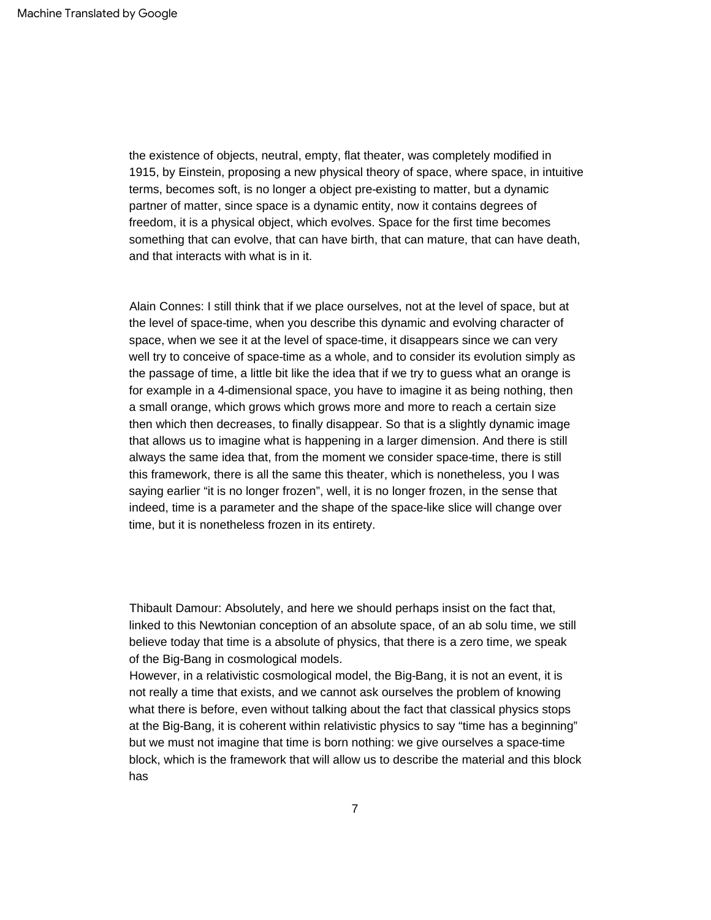the existence of objects, neutral, empty, flat theater, was completely modified in 1915, by Einstein, proposing a new physical theory of space, where space, in intuitive terms, becomes soft, is no longer a object pre-existing to matter, but a dynamic partner of matter, since space is a dynamic entity, now it contains degrees of freedom, it is a physical object, which evolves. Space for the first time becomes something that can evolve, that can have birth, that can mature, that can have death, and that interacts with what is in it.

Alain Connes: I still think that if we place ourselves, not at the level of space, but at the level of space-time, when you describe this dynamic and evolving character of space, when we see it at the level of space-time, it disappears since we can very well try to conceive of space-time as a whole, and to consider its evolution simply as the passage of time, a little bit like the idea that if we try to guess what an orange is for example in a 4-dimensional space, you have to imagine it as being nothing, then a small orange, which grows which grows more and more to reach a certain size then which then decreases, to finally disappear. So that is a slightly dynamic image that allows us to imagine what is happening in a larger dimension. And there is still always the same idea that, from the moment we consider space-time, there is still this framework, there is all the same this theater, which is nonetheless, you I was saying earlier "it is no longer frozen", well, it is no longer frozen, in the sense that indeed, time is a parameter and the shape of the space-like slice will change over time, but it is nonetheless frozen in its entirety.

Thibault Damour: Absolutely, and here we should perhaps insist on the fact that, linked to this Newtonian conception of an absolute space, of an ab solu time, we still believe today that time is a absolute of physics, that there is a zero time, we speak of the Big-Bang in cosmological models.

However, in a relativistic cosmological model, the Big-Bang, it is not an event, it is not really a time that exists, and we cannot ask ourselves the problem of knowing what there is before, even without talking about the fact that classical physics stops at the Big-Bang, it is coherent within relativistic physics to say "time has a beginning" but we must not imagine that time is born nothing: we give ourselves a space-time block, which is the framework that will allow us to describe the material and this block has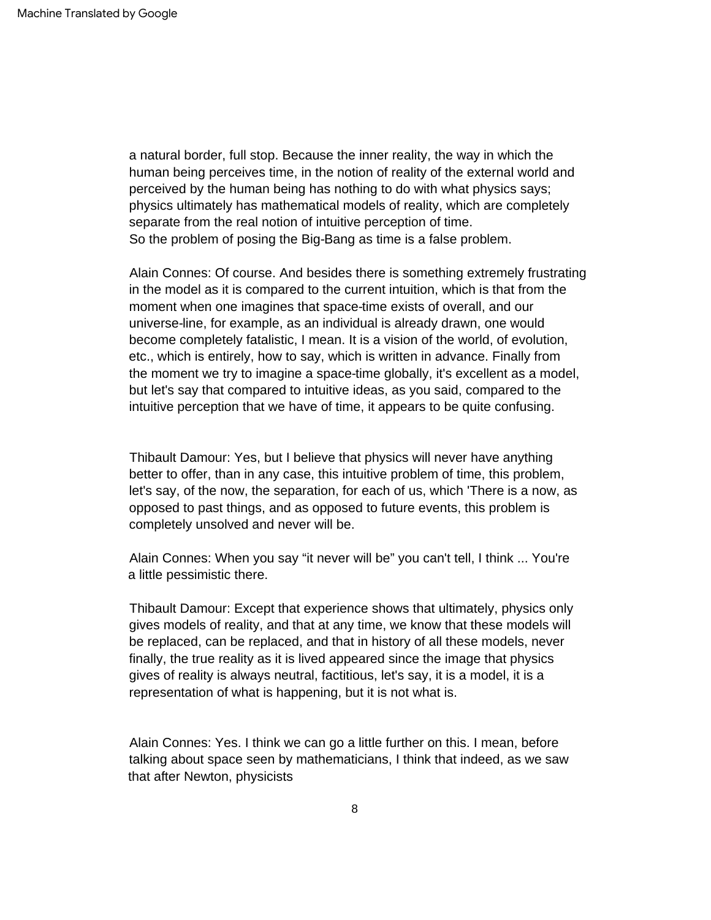So the problem of posing the Big-Bang as time is a false problem. a natural border, full stop. Because the inner reality, the way in which the human being perceives time, in the notion of reality of the external world and perceived by the human being has nothing to do with what physics says; physics ultimately has mathematical models of reality, which are completely separate from the real notion of intuitive perception of time.

Alain Connes: Of course. And besides there is something extremely frustrating in the model as it is compared to the current intuition, which is that from the moment when one imagines that space-time exists of overall, and our universe-line, for example, as an individual is already drawn, one would become completely fatalistic, I mean. It is a vision of the world, of evolution, etc., which is entirely, how to say, which is written in advance. Finally from the moment we try to imagine a space-time globally, it's excellent as a model, but let's say that compared to intuitive ideas, as you said, compared to the intuitive perception that we have of time, it appears to be quite confusing.

Thibault Damour: Yes, but I believe that physics will never have anything better to offer, than in any case, this intuitive problem of time, this problem, let's say, of the now, the separation, for each of us, which 'There is a now, as opposed to past things, and as opposed to future events, this problem is completely unsolved and never will be.

Alain Connes: When you say "it never will be" you can't tell, I think ... You're a little pessimistic there.

Thibault Damour: Except that experience shows that ultimately, physics only gives models of reality, and that at any time, we know that these models will be replaced, can be replaced, and that in history of all these models, never finally, the true reality as it is lived appeared since the image that physics gives of reality is always neutral, factitious, let's say, it is a model, it is a representation of what is happening, but it is not what is.

Alain Connes: Yes. I think we can go a little further on this. I mean, before talking about space seen by mathematicians, I think that indeed, as we saw that after Newton, physicists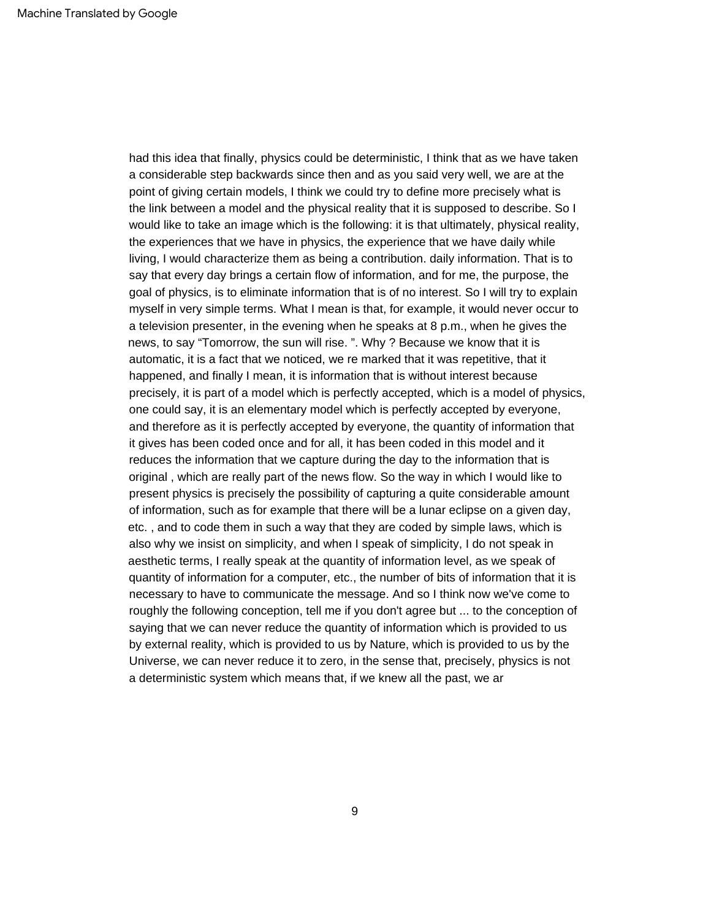had this idea that finally, physics could be deterministic, I think that as we have taken a considerable step backwards since then and as you said very well, we are at the point of giving certain models, I think we could try to define more precisely what is the link between a model and the physical reality that it is supposed to describe. So I would like to take an image which is the following: it is that ultimately, physical reality, the experiences that we have in physics, the experience that we have daily while living, I would characterize them as being a contribution. daily information. That is to say that every day brings a certain flow of information, and for me, the purpose, the goal of physics, is to eliminate information that is of no interest. So I will try to explain myself in very simple terms. What I mean is that, for example, it would never occur to a television presenter, in the evening when he speaks at 8 p.m., when he gives the news, to say "Tomorrow, the sun will rise. ". Why ? Because we know that it is automatic, it is a fact that we noticed, we re marked that it was repetitive, that it happened, and finally I mean, it is information that is without interest because precisely, it is part of a model which is perfectly accepted, which is a model of physics, one could say, it is an elementary model which is perfectly accepted by everyone, and therefore as it is perfectly accepted by everyone, the quantity of information that it gives has been coded once and for all, it has been coded in this model and it reduces the information that we capture during the day to the information that is original , which are really part of the news flow. So the way in which I would like to present physics is precisely the possibility of capturing a quite considerable amount of information, such as for example that there will be a lunar eclipse on a given day, etc. , and to code them in such a way that they are coded by simple laws, which is also why we insist on simplicity, and when I speak of simplicity, I do not speak in aesthetic terms, I really speak at the quantity of information level, as we speak of quantity of information for a computer, etc., the number of bits of information that it is necessary to have to communicate the message. And so I think now we've come to roughly the following conception, tell me if you don't agree but ... to the conception of saying that we can never reduce the quantity of information which is provided to us by external reality, which is provided to us by Nature, which is provided to us by the Universe, we can never reduce it to zero, in the sense that, precisely, physics is not a deterministic system which means that, if we knew all the past, we ar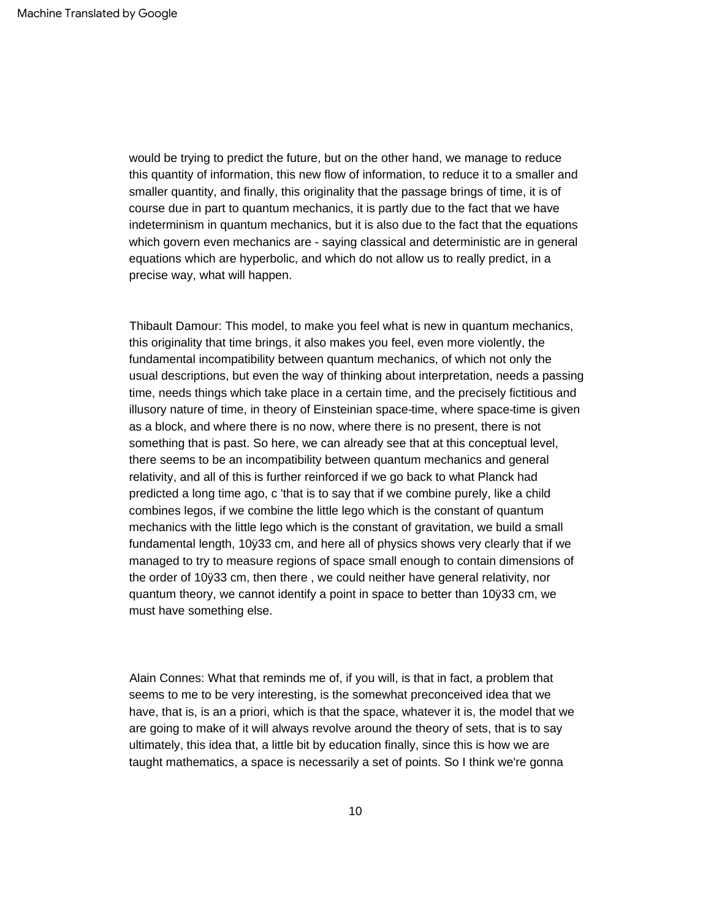would be trying to predict the future, but on the other hand, we manage to reduce this quantity of information, this new flow of information, to reduce it to a smaller and smaller quantity, and finally, this originality that the passage brings of time, it is of course due in part to quantum mechanics, it is partly due to the fact that we have indeterminism in quantum mechanics, but it is also due to the fact that the equations which govern even mechanics are - saying classical and deterministic are in general equations which are hyperbolic, and which do not allow us to really predict, in a precise way, what will happen.

Thibault Damour: This model, to make you feel what is new in quantum mechanics, this originality that time brings, it also makes you feel, even more violently, the fundamental incompatibility between quantum mechanics, of which not only the usual descriptions, but even the way of thinking about interpretation, needs a passing time, needs things which take place in a certain time, and the precisely fictitious and illusory nature of time, in theory of Einsteinian space-time, where space-time is given as a block, and where there is no now, where there is no present, there is not something that is past. So here, we can already see that at this conceptual level, there seems to be an incompatibility between quantum mechanics and general relativity, and all of this is further reinforced if we go back to what Planck had predicted a long time ago, c 'that is to say that if we combine purely, like a child combines legos, if we combine the little lego which is the constant of quantum mechanics with the little lego which is the constant of gravitation, we build a small fundamental length, 10ÿ33 cm, and here all of physics shows very clearly that if we managed to try to measure regions of space small enough to contain dimensions of the order of 10ÿ33 cm, then there , we could neither have general relativity, nor quantum theory, we cannot identify a point in space to better than 10ÿ33 cm, we must have something else.

Alain Connes: What that reminds me of, if you will, is that in fact, a problem that seems to me to be very interesting, is the somewhat preconceived idea that we have, that is, is an a priori, which is that the space, whatever it is, the model that we are going to make of it will always revolve around the theory of sets, that is to say ultimately, this idea that, a little bit by education finally, since this is how we are taught mathematics, a space is necessarily a set of points. So I think we're gonna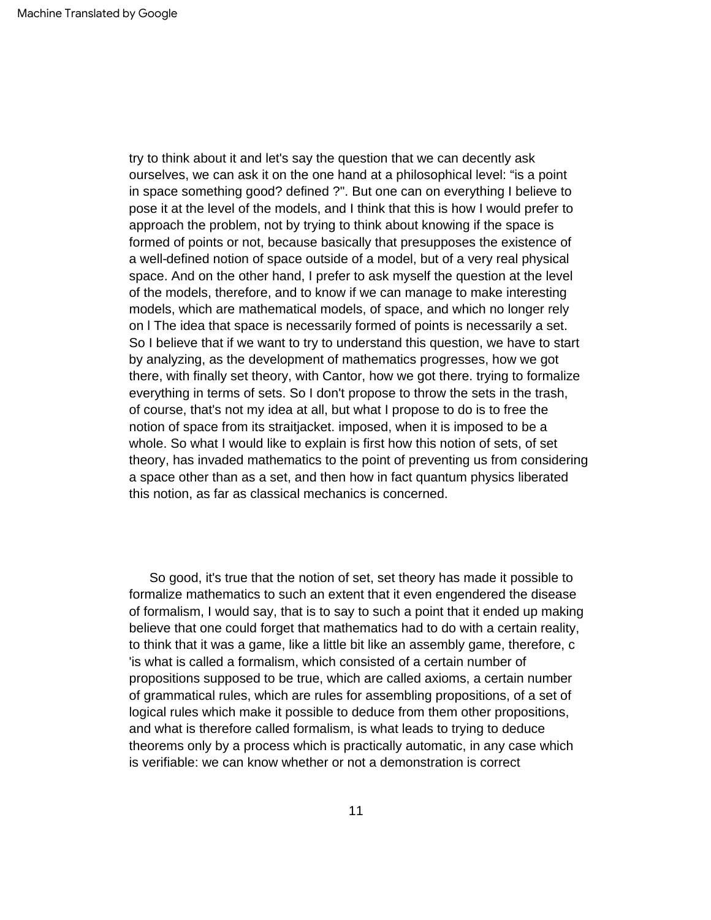try to think about it and let's say the question that we can decently ask ourselves, we can ask it on the one hand at a philosophical level: "is a point in space something good? defined ?". But one can on everything I believe to pose it at the level of the models, and I think that this is how I would prefer to approach the problem, not by trying to think about knowing if the space is formed of points or not, because basically that presupposes the existence of a well-defined notion of space outside of a model, but of a very real physical space. And on the other hand, I prefer to ask myself the question at the level of the models, therefore, and to know if we can manage to make interesting models, which are mathematical models, of space, and which no longer rely on l The idea that space is necessarily formed of points is necessarily a set. So I believe that if we want to try to understand this question, we have to start by analyzing, as the development of mathematics progresses, how we got there, with finally set theory, with Cantor, how we got there. trying to formalize everything in terms of sets. So I don't propose to throw the sets in the trash, of course, that's not my idea at all, but what I propose to do is to free the notion of space from its straitjacket. imposed, when it is imposed to be a whole. So what I would like to explain is first how this notion of sets, of set theory, has invaded mathematics to the point of preventing us from considering a space other than as a set, and then how in fact quantum physics liberated this notion, as far as classical mechanics is concerned.

So good, it's true that the notion of set, set theory has made it possible to formalize mathematics to such an extent that it even engendered the disease of formalism, I would say, that is to say to such a point that it ended up making believe that one could forget that mathematics had to do with a certain reality, to think that it was a game, like a little bit like an assembly game, therefore, c 'is what is called a formalism, which consisted of a certain number of propositions supposed to be true, which are called axioms, a certain number of grammatical rules, which are rules for assembling propositions, of a set of logical rules which make it possible to deduce from them other propositions, and what is therefore called formalism, is what leads to trying to deduce theorems only by a process which is practically automatic, in any case which is verifiable: we can know whether or not a demonstration is correct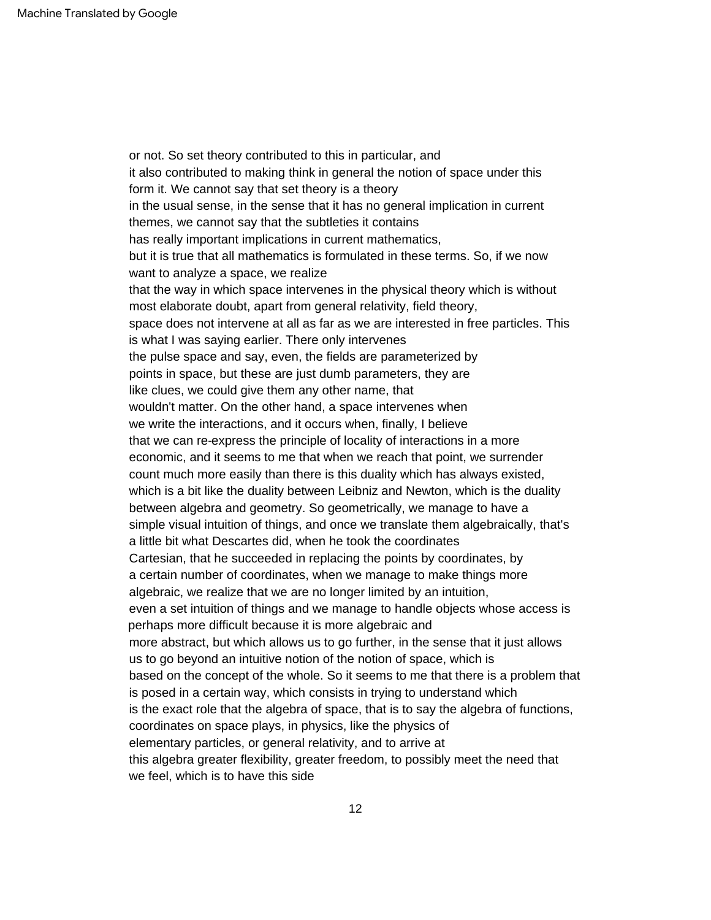it also contributed to making think in general the notion of space under this points in space, but these are just dumb parameters, they are Cartesian, that he succeeded in replacing the points by coordinates, by elementary particles, or general relativity, and to arrive at wouldn't matter. On the other hand, a space intervenes when algebraic, we realize that we are no longer limited by an intuition, in the usual sense, in the sense that it has no general implication in current themes, we cannot say that the subtleties it contains that the way in which space intervenes in the physical theory which is without economic, and it seems to me that when we reach that point, we surrender based on the concept of the whole. So it seems to me that there is a problem that even a set intuition of things and we manage to handle objects whose access is perhaps more difficult because it is more algebraic and which is a bit like the duality between Leibniz and Newton, which is the duality between algebra and geometry. So geometrically, we manage to have a is the exact role that the algebra of space, that is to say the algebra of functions, space does not intervene at all as far as we are interested in free particles. This is what I was saying earlier. There only intervenes coordinates on space plays, in physics, like the physics of or not. So set theory contributed to this in particular, and the pulse space and say, even, the fields are parameterized by simple visual intuition of things, and once we translate them algebraically, that's a little bit what Descartes did, when he took the coordinates has really important implications in current mathematics, we write the interactions, and it occurs when, finally, I believe form it. We cannot say that set theory is a theory like clues, we could give them any other name, that a certain number of coordinates, when we manage to make things more this algebra greater flexibility, greater freedom, to possibly meet the need that we feel, which is to have this side but it is true that all mathematics is formulated in these terms. So, if we now want to analyze a space, we realize that we can re-express the principle of locality of interactions in a more more abstract, but which allows us to go further, in the sense that it just allows us to go beyond an intuitive notion of the notion of space, which is most elaborate doubt, apart from general relativity, field theory, count much more easily than there is this duality which has always existed, is posed in a certain way, which consists in trying to understand which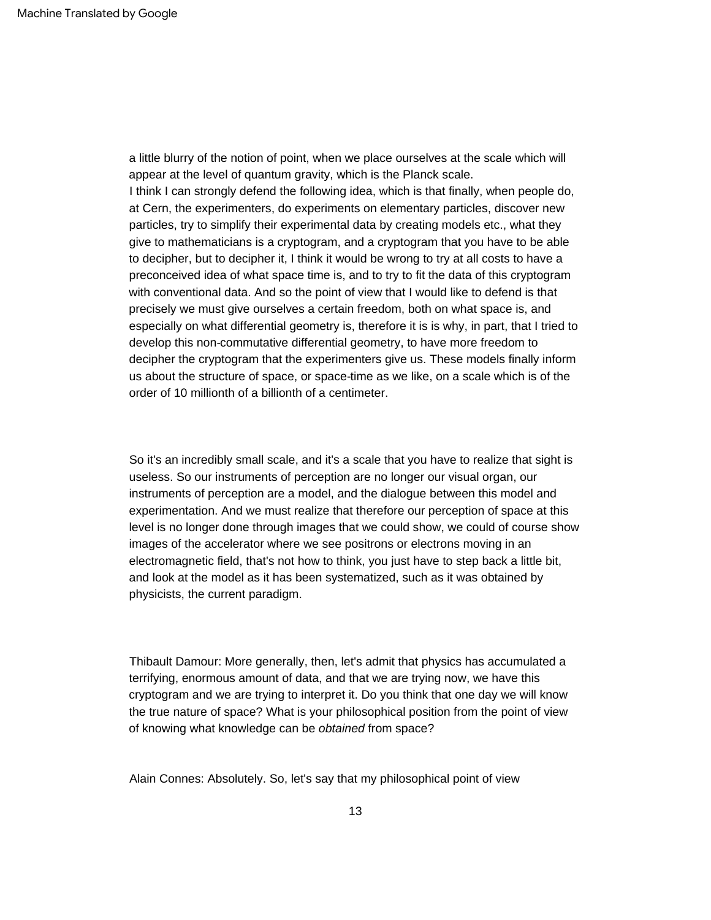a little blurry of the notion of point, when we place ourselves at the scale which will appear at the level of quantum gravity, which is the Planck scale. I think I can strongly defend the following idea, which is that finally, when people do, at Cern, the experimenters, do experiments on elementary particles, discover new particles, try to simplify their experimental data by creating models etc., what they give to mathematicians is a cryptogram, and a cryptogram that you have to be able to decipher, but to decipher it, I think it would be wrong to try at all costs to have a preconceived idea of what space time is, and to try to fit the data of this cryptogram with conventional data. And so the point of view that I would like to defend is that precisely we must give ourselves a certain freedom, both on what space is, and especially on what differential geometry is, therefore it is is why, in part, that I tried to develop this non-commutative differential geometry, to have more freedom to decipher the cryptogram that the experimenters give us. These models finally inform us about the structure of space, or space-time as we like, on a scale which is of the order of 10 millionth of a billionth of a centimeter.

So it's an incredibly small scale, and it's a scale that you have to realize that sight is useless. So our instruments of perception are no longer our visual organ, our instruments of perception are a model, and the dialogue between this model and experimentation. And we must realize that therefore our perception of space at this level is no longer done through images that we could show, we could of course show images of the accelerator where we see positrons or electrons moving in an electromagnetic field, that's not how to think, you just have to step back a little bit, and look at the model as it has been systematized, such as it was obtained by physicists, the current paradigm.

Thibault Damour: More generally, then, let's admit that physics has accumulated a terrifying, enormous amount of data, and that we are trying now, we have this cryptogram and we are trying to interpret it. Do you think that one day we will know the true nature of space? What is your philosophical position from the point of view of knowing what knowledge can be obtained from space?

Alain Connes: Absolutely. So, let's say that my philosophical point of view